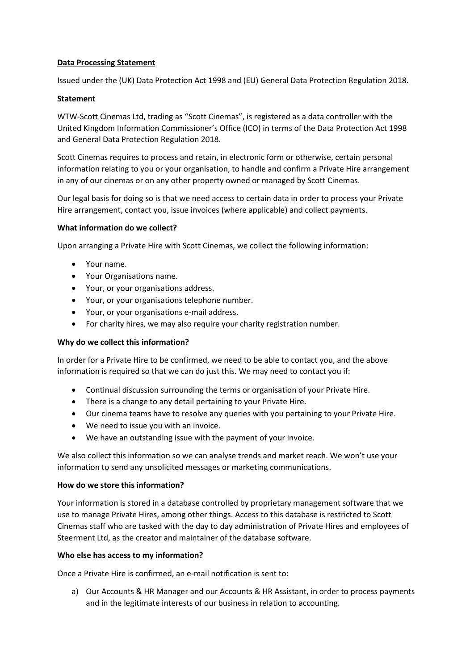### **Data Processing Statement**

Issued under the (UK) Data Protection Act 1998 and (EU) General Data Protection Regulation 2018.

### **Statement**

WTW-Scott Cinemas Ltd, trading as "Scott Cinemas", is registered as a data controller with the United Kingdom Information Commissioner's Office (ICO) in terms of the Data Protection Act 1998 and General Data Protection Regulation 2018.

Scott Cinemas requires to process and retain, in electronic form or otherwise, certain personal information relating to you or your organisation, to handle and confirm a Private Hire arrangement in any of our cinemas or on any other property owned or managed by Scott Cinemas.

Our legal basis for doing so is that we need access to certain data in order to process your Private Hire arrangement, contact you, issue invoices (where applicable) and collect payments.

### **What information do we collect?**

Upon arranging a Private Hire with Scott Cinemas, we collect the following information:

- Your name.
- Your Organisations name.
- Your, or your organisations address.
- Your, or your organisations telephone number.
- Your, or your organisations e-mail address.
- For charity hires, we may also require your charity registration number.

### **Why do we collect this information?**

In order for a Private Hire to be confirmed, we need to be able to contact you, and the above information is required so that we can do just this. We may need to contact you if:

- Continual discussion surrounding the terms or organisation of your Private Hire.
- There is a change to any detail pertaining to your Private Hire.
- Our cinema teams have to resolve any queries with you pertaining to your Private Hire.
- We need to issue you with an invoice.
- We have an outstanding issue with the payment of your invoice.

We also collect this information so we can analyse trends and market reach. We won't use your information to send any unsolicited messages or marketing communications.

### **How do we store this information?**

Your information is stored in a database controlled by proprietary management software that we use to manage Private Hires, among other things. Access to this database is restricted to Scott Cinemas staff who are tasked with the day to day administration of Private Hires and employees of Steerment Ltd, as the creator and maintainer of the database software.

### **Who else has access to my information?**

Once a Private Hire is confirmed, an e-mail notification is sent to:

a) Our Accounts & HR Manager and our Accounts & HR Assistant, in order to process payments and in the legitimate interests of our business in relation to accounting.